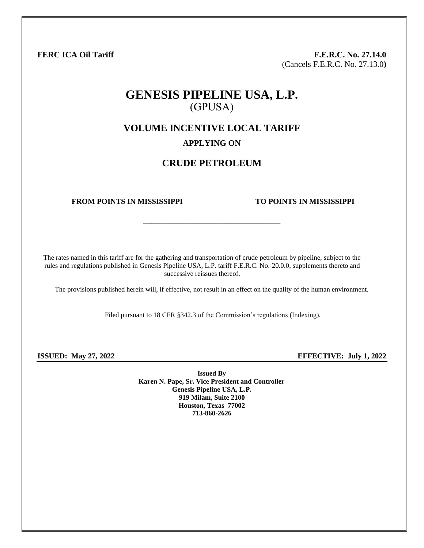**FERC ICA Oil Tariff F.E.R.C. No. 27.14.0** (Cancels F.E.R.C. No. 27.13.0**)**

# **GENESIS PIPELINE USA, L.P.** (GPUSA)

**VOLUME INCENTIVE LOCAL TARIFF**

### **APPLYING ON**

## **CRUDE PETROLEUM**

\_\_\_\_\_\_\_\_\_\_\_\_\_\_\_\_\_\_\_\_\_\_\_\_\_\_\_\_\_\_\_\_\_

#### **FROM POINTS IN MISSISSIPPI TO POINTS IN MISSISSIPPI**

The rates named in this tariff are for the gathering and transportation of crude petroleum by pipeline, subject to the rules and regulations published in Genesis Pipeline USA, L.P. tariff F.E.R.C. No. 20.0.0, supplements thereto and successive reissues thereof.

The provisions published herein will, if effective, not result in an effect on the quality of the human environment.

Filed pursuant to 18 CFR §342.3 of the Commission's regulations (Indexing).

**ISSUED: May 27, 2022 EFFECTIVE: July 1, 2022**

**Issued By Karen N. Pape, Sr. Vice President and Controller Genesis Pipeline USA, L.P. 919 Milam, Suite 2100 Houston, Texas 77002 713-860-2626**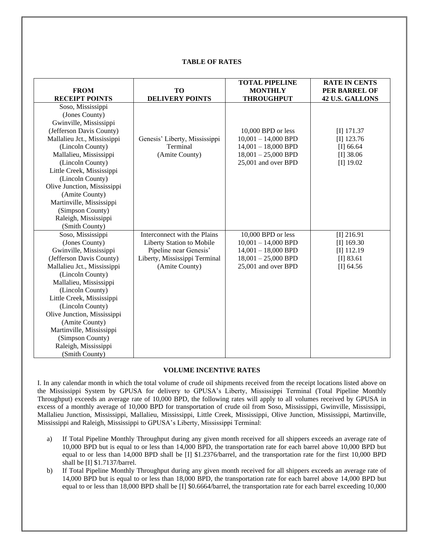#### **TABLE OF RATES**

|                             |                               | <b>TOTAL PIPELINE</b> | <b>RATE IN CENTS</b> |
|-----------------------------|-------------------------------|-----------------------|----------------------|
| <b>FROM</b>                 | <b>TO</b>                     | <b>MONTHLY</b>        | PER BARREL OF        |
| <b>RECEIPT POINTS</b>       | <b>DELIVERY POINTS</b>        | <b>THROUGHPUT</b>     | 42 U.S. GALLONS      |
| Soso, Mississippi           |                               |                       |                      |
| (Jones County)              |                               |                       |                      |
| Gwinville, Mississippi      |                               |                       |                      |
| (Jefferson Davis County)    |                               | 10,000 BPD or less    | $[I]$ 171.37         |
| Mallalieu Jct., Mississippi | Genesis' Liberty, Mississippi | $10,001 - 14,000$ BPD | $[I]$ 123.76         |
| (Lincoln County)            | Terminal                      | $14,001 - 18,000$ BPD | [I] 66.64            |
| Mallalieu, Mississippi      | (Amite County)                | $18,001 - 25,000$ BPD | $[I]$ 38.06          |
| (Lincoln County)            |                               | 25,001 and over BPD   | $[I]$ 19.02          |
| Little Creek, Mississippi   |                               |                       |                      |
| (Lincoln County)            |                               |                       |                      |
| Olive Junction, Mississippi |                               |                       |                      |
| (Amite County)              |                               |                       |                      |
| Martinville, Mississippi    |                               |                       |                      |
| (Simpson County)            |                               |                       |                      |
| Raleigh, Mississippi        |                               |                       |                      |
| (Smith County)              |                               |                       |                      |
| Soso, Mississippi           | Interconnect with the Plains  | 10,000 BPD or less    | $[I]$ 216.91         |
| (Jones County)              | Liberty Station to Mobile     | $10,001 - 14,000$ BPD | $[I]$ 169.30         |
| Gwinville, Mississippi      | Pipeline near Genesis'        | $14,001 - 18,000$ BPD | $[I]$ 112.19         |
| (Jefferson Davis County)    | Liberty, Mississippi Terminal | $18,001 - 25,000$ BPD | $[I]$ 83.61          |
| Mallalieu Jct., Mississippi | (Amite County)                | 25,001 and over BPD   | [I] 64.56            |
| (Lincoln County)            |                               |                       |                      |
| Mallalieu, Mississippi      |                               |                       |                      |
| (Lincoln County)            |                               |                       |                      |
| Little Creek, Mississippi   |                               |                       |                      |
| (Lincoln County)            |                               |                       |                      |
| Olive Junction, Mississippi |                               |                       |                      |
| (Amite County)              |                               |                       |                      |
| Martinville, Mississippi    |                               |                       |                      |
| (Simpson County)            |                               |                       |                      |
| Raleigh, Mississippi        |                               |                       |                      |
| (Smith County)              |                               |                       |                      |

#### **VOLUME INCENTIVE RATES**

I. In any calendar month in which the total volume of crude oil shipments received from the receipt locations listed above on the Mississippi System by GPUSA for delivery to GPUSA's Liberty, Mississippi Terminal (Total Pipeline Monthly Throughput) exceeds an average rate of 10,000 BPD, the following rates will apply to all volumes received by GPUSA in excess of a monthly average of 10,000 BPD for transportation of crude oil from Soso, Mississippi, Gwinville, Mississippi, Mallalieu Junction, Mississippi, Mallalieu, Mississippi, Little Creek, Mississippi, Olive Junction, Mississippi, Martinville, Mississippi and Raleigh, Mississippi to GPUSA's Liberty, Mississippi Terminal:

- a) If Total Pipeline Monthly Throughput during any given month received for all shippers exceeds an average rate of 10,000 BPD but is equal to or less than 14,000 BPD, the transportation rate for each barrel above 10,000 BPD but equal to or less than 14,000 BPD shall be [I] \$1.2376/barrel, and the transportation rate for the first 10,000 BPD shall be [I] \$1.7137/barrel.
- b) If Total Pipeline Monthly Throughput during any given month received for all shippers exceeds an average rate of 14,000 BPD but is equal to or less than 18,000 BPD, the transportation rate for each barrel above 14,000 BPD but equal to or less than 18,000 BPD shall be [I] \$0.6664/barrel, the transportation rate for each barrel exceeding 10,000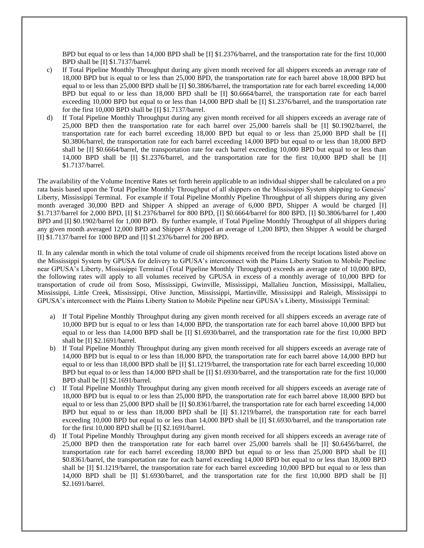BPD but equal to or less than 14,000 BPD shall be [I] \$1.2376/barrel, and the transportation rate for the first 10,000 BPD shall be [I] \$1.7137/barrel.

- c) If Total Pipeline Monthly Throughput during any given month received for all shippers exceeds an average rate of 18,000 BPD but is equal to or less than 25,000 BPD, the transportation rate for each barrel above 18,000 BPD but equal to or less than 25,000 BPD shall be [I] \$0.3806/barrel, the transportation rate for each barrel exceeding 14,000 BPD but equal to or less than 18,000 BPD shall be [I] \$0.6664/barrel, the transportation rate for each barrel exceeding 10,000 BPD but equal to or less than 14,000 BPD shall be  $[I] \$1.2376/barrel$ , and the transportation rate for the first 10,000 BPD shall be [I] \$1.7137/barrel.
- d) If Total Pipeline Monthly Throughput during any given month received for all shippers exceeds an average rate of 25,000 BPD then the transportation rate for each barrel over 25,000 barrels shall be [I] \$0.1902/barrel, the transportation rate for each barrel exceeding 18,000 BPD but equal to or less than 25,000 BPD shall be [I] \$0.3806/barrel, the transportation rate for each barrel exceeding 14,000 BPD but equal to or less than 18,000 BPD shall be [I] \$0.6664/barrel, the transportation rate for each barrel exceeding 10,000 BPD but equal to or less than 14,000 BPD shall be [I] \$1.2376/barrel, and the transportation rate for the first 10,000 BPD shall be [I] \$1.7137/barrel.

The availability of the Volume Incentive Rates set forth herein applicable to an individual shipper shall be calculated on a pro rata basis based upon the Total Pipeline Monthly Throughput of all shippers on the Mississippi System shipping to Genesis' Liberty, Mississippi Terminal. For example if Total Pipeline Monthly Pipeline Throughput of all shippers during any given month averaged 30,000 BPD and Shipper A shipped an average of 6,000 BPD, Shipper A would be charged [I] \$1.7137/barrel for 2,000 BPD, [I] \$1.2376/barrel for 800 BPD, [I] \$0.6664/barrel for 800 BPD, [I] \$0.3806/barrel for 1,400 BPD and [I] \$0.1902/barrel for 1,000 BPD. By further example, if Total Pipeline Monthly Throughput of all shippers during any given month averaged 12,000 BPD and Shipper A shipped an average of 1,200 BPD, then Shipper A would be charged [I] \$1.7137/barrel for 1000 BPD and [I] \$1.2376/barrel for 200 BPD.

II. In any calendar month in which the total volume of crude oil shipments received from the receipt locations listed above on the Mississippi System by GPUSA for delivery to GPUSA's interconnect with the Plains Liberty Station to Mobile Pipeline near GPUSA's Liberty, Mississippi Terminal (Total Pipeline Monthly Throughput) exceeds an average rate of 10,000 BPD, the following rates will apply to all volumes received by GPUSA in excess of a monthly average of 10,000 BPD for transportation of crude oil from Soso, Mississippi, Gwinville, Mississippi, Mallalieu Junction, Mississippi, Mallalieu, Mississippi, Little Creek, Mississippi, Olive Junction, Mississippi, Martinville, Mississippi and Raleigh, Mississippi to GPUSA's interconnect with the Plains Liberty Station to Mobile Pipeline near GPUSA's Liberty, Mississippi Terminal:

- a) If Total Pipeline Monthly Throughput during any given month received for all shippers exceeds an average rate of 10,000 BPD but is equal to or less than 14,000 BPD, the transportation rate for each barrel above 10,000 BPD but equal to or less than 14,000 BPD shall be [I] \$1.6930/barrel, and the transportation rate for the first 10,000 BPD shall be [I] \$2.1691/barrel.
- b) If Total Pipeline Monthly Throughput during any given month received for all shippers exceeds an average rate of 14,000 BPD but is equal to or less than 18,000 BPD, the transportation rate for each barrel above 14,000 BPD but equal to or less than 18,000 BPD shall be [I] \$1.1219/barrel, the transportation rate for each barrel exceeding 10,000 BPD but equal to or less than 14,000 BPD shall be [I] \$1.6930/barrel, and the transportation rate for the first 10,000 BPD shall be [I] \$2.1691/barrel.
- c) If Total Pipeline Monthly Throughput during any given month received for all shippers exceeds an average rate of 18,000 BPD but is equal to or less than 25,000 BPD, the transportation rate for each barrel above 18,000 BPD but equal to or less than 25,000 BPD shall be [I] \$0.8361/barrel, the transportation rate for each barrel exceeding 14,000 BPD but equal to or less than 18,000 BPD shall be [I] \$1.1219/barrel, the transportation rate for each barrel exceeding 10,000 BPD but equal to or less than 14,000 BPD shall be  $\Pi$  \$1.6930/barrel, and the transportation rate for the first 10,000 BPD shall be [I] \$2.1691/barrel.
- d) If Total Pipeline Monthly Throughput during any given month received for all shippers exceeds an average rate of 25,000 BPD then the transportation rate for each barrel over 25,000 barrels shall be [I] \$0.6456/barrel, the transportation rate for each barrel exceeding 18,000 BPD but equal to or less than 25,000 BPD shall be [I] \$0.8361/barrel, the transportation rate for each barrel exceeding 14,000 BPD but equal to or less than 18,000 BPD shall be [I] \$1.1219/barrel, the transportation rate for each barrel exceeding 10,000 BPD but equal to or less than 14,000 BPD shall be [I] \$1.6930/barrel, and the transportation rate for the first 10,000 BPD shall be [I] \$2.1691/barrel.